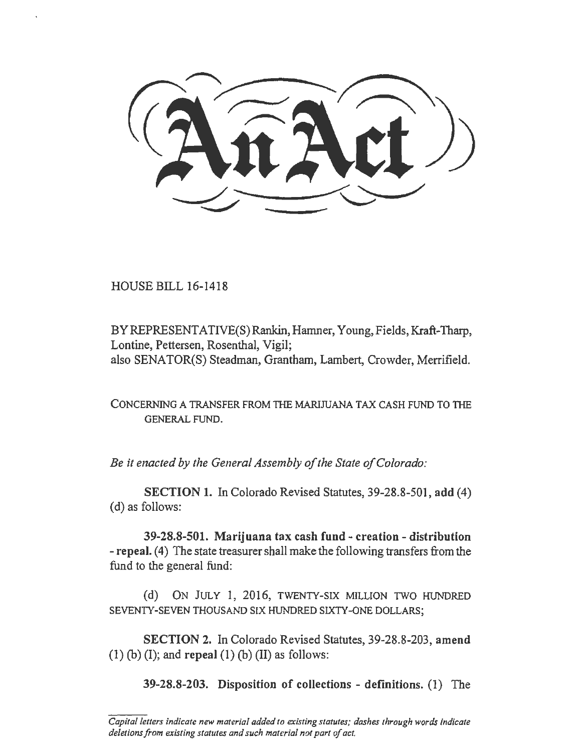HOUSE BILL 16-1418

BY REPRESENTATIVE(S) Rankin, Hamner, Young, Fields, Kraft-Tharp, Lontine, Pettersen, Rosenthal, Vigil; also SENATOR(S) Steadman, Grantham, Lambert, Crowder, Merrifield.

CONCERNING A TRANSFER FROM THE MARIJUANA TAX CASH FUND TO THE GENERAL FUND.

*Be it enacted by the General Assembly of the State of Colorado:* 

SECTION 1. In Colorado Revised Statutes, 39-28.8-501, add (4) (d) as follows:

39-28.8-501. Marijuana tax cash fund - creation - distribution - repeal. (4) The state treasurer shall make the following transfers from the fund to the general fund:

(d) ON JULY 1, 2016, TWENTY-SIX MILLION TWO HUNDRED SEVENTY-SEVEN THOUSAND SIX HUNDRED SIXTY-ONE DOLLARS;

SECTION 2. In Colorado Revised Statutes, 39-28.8-203, amend  $(1)$  (b) (I); and repeal (1) (b) (II) as follows:

39-28.8-203. Disposition of collections - definitions. (1) The

*Capital letters indicate new material added to existing statutes; dashes through words indicate*  deletions from existing statutes and such material not part of act.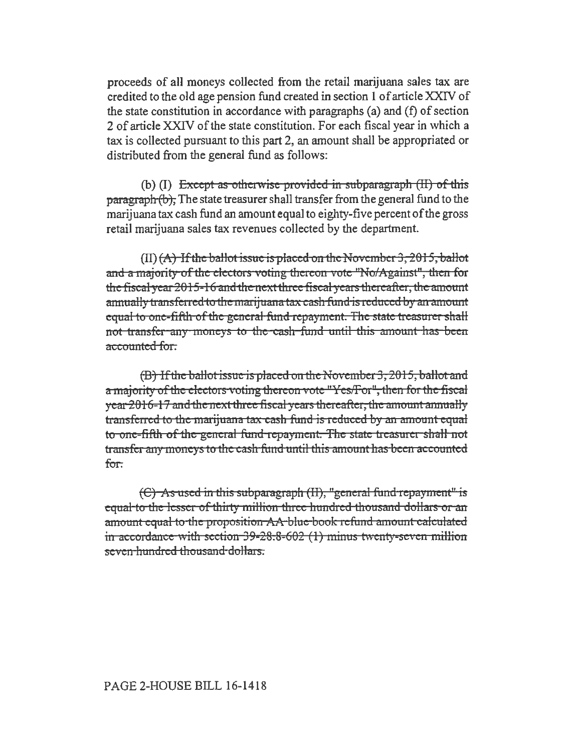proceeds of all moneys collected from the retail marijuana sales tax are credited to the old age pension fund created in section 1 of article XXIV of the state constitution in accordance with paragraphs (a) and (f) of section 2 of article XXIV of the state constitution. For each fiscal year in which a tax is collected pursuant to this part 2, an amount shall be appropriated or distributed from the general fund as follows:

(b)  $(I)$  Except as otherwise provided in subparagraph  $(II)$  of this  $\frac{1}{2}$  paragraph (b). The state treasurer shall transfer from the general fund to the marijuana tax cash fund an amount equal to eighty-five percent of the gross retail marijuana sales tax revenues collected by the department.

 $(II)$   $(A)$  If the ballot issue is placed on the November 3, 2015, ballot and a majority of the electors voting thereon vote "No/Against", then for the fiscal year  $2015-16$  and the next three fiscal years thereafter, the amount annually transferred to the marijuana tax cash fund is reduced by an amount equal to one-fifth of the general fund repayment. The state treasurer shall not transfer any moneys to the cash fund until this amount has been accounted for.

(D) Ifthe ballot issue is placed on the November 3, 2015, ballot and a majority of the electors voting thereon vote "Yes/For", then for the fiscal year 2016-17 and the next three fiscal years thereafter, the amount annually transferred to the marijuana tax-cash fund is reduced by an amount equal to one-fifth of the general fund repayment. The state treasurer shall not transfer any moneys to the cash fund until this amount has been accounted for.

 $(C)$  As used in this subparagraph  $(II)$ , "general fund repayment" is equal to the lesser of thirty million three hundred thousand dollars or an amount equal to the proposition AA blue book refund amount calculated in accordance with section  $39 - 28 - 86 - 602$  (1) minus twenty-seven million seven-hundred thousand-dollars.